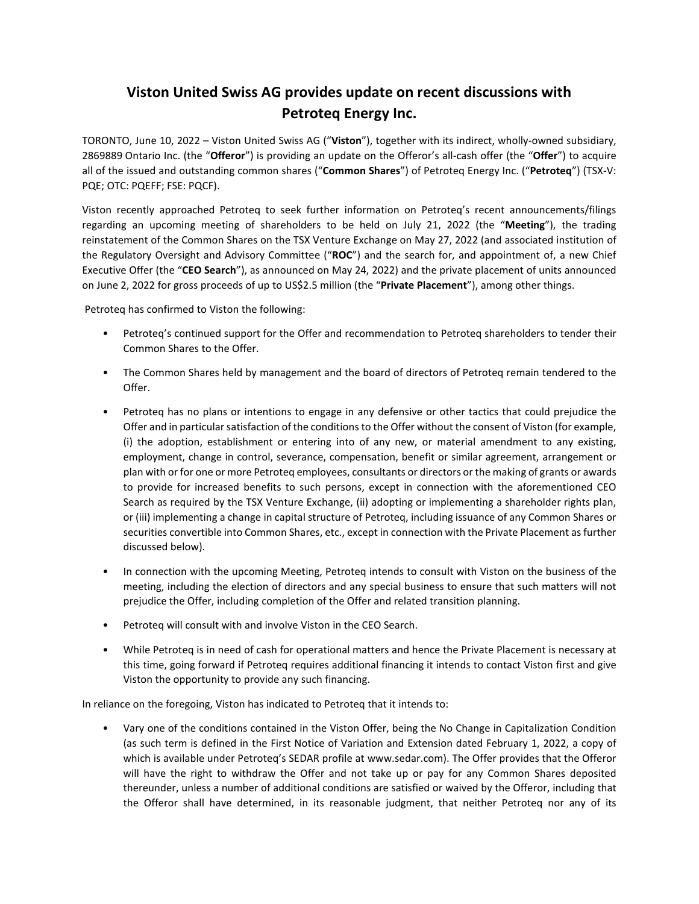# **Viston United Swiss AG provides update on recent discussions with Petroteq Energy Inc.**

TORONTO, June 10, 2022 – Viston United Swiss AG ("**Viston**"), together with its indirect, wholly-owned subsidiary, 2869889 Ontario Inc. (the "**Offeror**") is providing an update on the Offeror's all-cash offer (the "**Offer**") to acquire all of the issued and outstanding common shares ("**Common Shares**") of Petroteq Energy Inc. ("**Petroteq**") (TSX-V: PQE; OTC: PQEFF; FSE: PQCF).

Viston recently approached Petroteq to seek further information on Petroteq's recent announcements/filings regarding an upcoming meeting of shareholders to be held on July 21, 2022 (the "**Meeting**"), the trading reinstatement of the Common Shares on the TSX Venture Exchange on May 27, 2022 (and associated institution of the Regulatory Oversight and Advisory Committee ("**ROC**") and the search for, and appointment of, a new Chief Executive Offer (the "**CEO Search**"), as announced on May 24, 2022) and the private placement of units announced on June 2, 2022 for gross proceeds of up to US\$2.5 million (the "**Private Placement**"), among other things.

Petroteq has confirmed to Viston the following:

- Petroteq's continued support for the Offer and recommendation to Petroteq shareholders to tender their Common Shares to the Offer.
- The Common Shares held by management and the board of directors of Petroteq remain tendered to the Offer.
- Petroteq has no plans or intentions to engage in any defensive or other tactics that could prejudice the Offer and in particular satisfaction of the conditions to the Offer without the consent of Viston (for example, (i) the adoption, establishment or entering into of any new, or material amendment to any existing, employment, change in control, severance, compensation, benefit or similar agreement, arrangement or plan with or for one or more Petroteq employees, consultants or directors or the making of grants or awards to provide for increased benefits to such persons, except in connection with the aforementioned CEO Search as required by the TSX Venture Exchange, (ii) adopting or implementing a shareholder rights plan, or (iii) implementing a change in capital structure of Petroteq, including issuance of any Common Shares or securities convertible into Common Shares, etc., except in connection with the Private Placement as further discussed below).
- In connection with the upcoming Meeting, Petroteq intends to consult with Viston on the business of the meeting, including the election of directors and any special business to ensure that such matters will not prejudice the Offer, including completion of the Offer and related transition planning.
- Petroteq will consult with and involve Viston in the CEO Search.
- While Petroteq is in need of cash for operational matters and hence the Private Placement is necessary at this time, going forward if Petroteq requires additional financing it intends to contact Viston first and give Viston the opportunity to provide any such financing.

In reliance on the foregoing, Viston has indicated to Petroteq that it intends to:

• Vary one of the conditions contained in the Viston Offer, being the No Change in Capitalization Condition (as such term is defined in the First Notice of Variation and Extension dated February 1, 2022, a copy of which is available under Petroteq's SEDAR profile at www.sedar.com). The Offer provides that the Offeror will have the right to withdraw the Offer and not take up or pay for any Common Shares deposited thereunder, unless a number of additional conditions are satisfied or waived by the Offeror, including that the Offeror shall have determined, in its reasonable judgment, that neither Petroteq nor any of its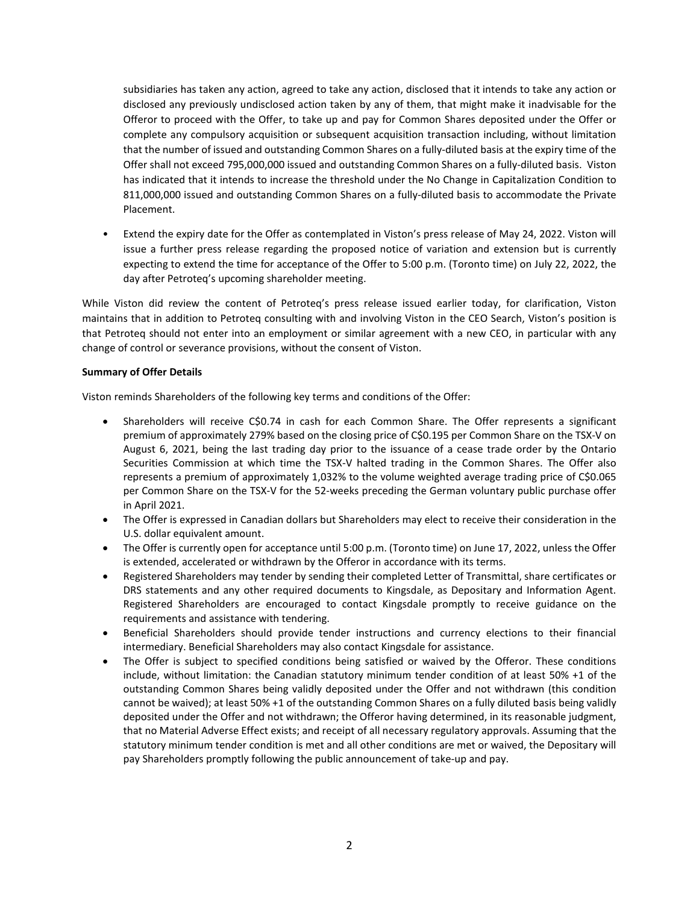subsidiaries has taken any action, agreed to take any action, disclosed that it intends to take any action or disclosed any previously undisclosed action taken by any of them, that might make it inadvisable for the Offeror to proceed with the Offer, to take up and pay for Common Shares deposited under the Offer or complete any compulsory acquisition or subsequent acquisition transaction including, without limitation that the number of issued and outstanding Common Shares on a fully-diluted basis at the expiry time of the Offer shall not exceed 795,000,000 issued and outstanding Common Shares on a fully-diluted basis. Viston has indicated that it intends to increase the threshold under the No Change in Capitalization Condition to 811,000,000 issued and outstanding Common Shares on a fully-diluted basis to accommodate the Private Placement.

• Extend the expiry date for the Offer as contemplated in Viston's press release of May 24, 2022. Viston will issue a further press release regarding the proposed notice of variation and extension but is currently expecting to extend the time for acceptance of the Offer to 5:00 p.m. (Toronto time) on July 22, 2022, the day after Petroteq's upcoming shareholder meeting.

While Viston did review the content of Petroteq's press release issued earlier today, for clarification, Viston maintains that in addition to Petroteq consulting with and involving Viston in the CEO Search, Viston's position is that Petroteq should not enter into an employment or similar agreement with a new CEO, in particular with any change of control or severance provisions, without the consent of Viston.

# **Summary of Offer Details**

Viston reminds Shareholders of the following key terms and conditions of the Offer:

- Shareholders will receive C\$0.74 in cash for each Common Share. The Offer represents a significant premium of approximately 279% based on the closing price of C\$0.195 per Common Share on the TSX-V on August 6, 2021, being the last trading day prior to the issuance of a cease trade order by the Ontario Securities Commission at which time the TSX-V halted trading in the Common Shares. The Offer also represents a premium of approximately 1,032% to the volume weighted average trading price of C\$0.065 per Common Share on the TSX-V for the 52-weeks preceding the German voluntary public purchase offer in April 2021.
- The Offer is expressed in Canadian dollars but Shareholders may elect to receive their consideration in the U.S. dollar equivalent amount.
- The Offer is currently open for acceptance until 5:00 p.m. (Toronto time) on June 17, 2022, unless the Offer is extended, accelerated or withdrawn by the Offeror in accordance with its terms.
- Registered Shareholders may tender by sending their completed Letter of Transmittal, share certificates or DRS statements and any other required documents to Kingsdale, as Depositary and Information Agent. Registered Shareholders are encouraged to contact Kingsdale promptly to receive guidance on the requirements and assistance with tendering.
- Beneficial Shareholders should provide tender instructions and currency elections to their financial intermediary. Beneficial Shareholders may also contact Kingsdale for assistance.
- The Offer is subject to specified conditions being satisfied or waived by the Offeror. These conditions include, without limitation: the Canadian statutory minimum tender condition of at least 50% +1 of the outstanding Common Shares being validly deposited under the Offer and not withdrawn (this condition cannot be waived); at least 50% +1 of the outstanding Common Shares on a fully diluted basis being validly deposited under the Offer and not withdrawn; the Offeror having determined, in its reasonable judgment, that no Material Adverse Effect exists; and receipt of all necessary regulatory approvals. Assuming that the statutory minimum tender condition is met and all other conditions are met or waived, the Depositary will pay Shareholders promptly following the public announcement of take-up and pay.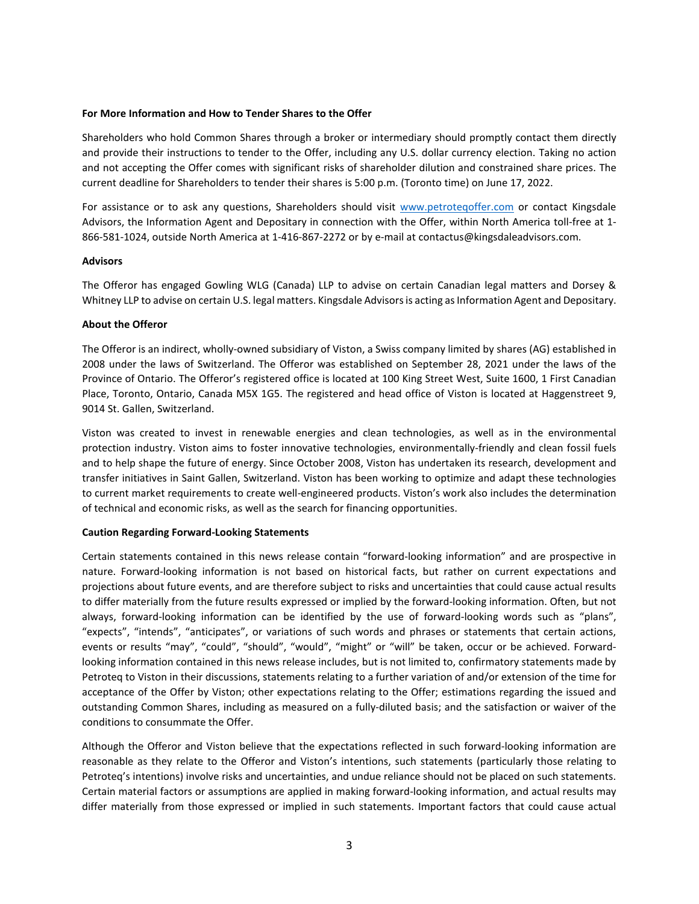#### **For More Information and How to Tender Shares to the Offer**

Shareholders who hold Common Shares through a broker or intermediary should promptly contact them directly and provide their instructions to tender to the Offer, including any U.S. dollar currency election. Taking no action and not accepting the Offer comes with significant risks of shareholder dilution and constrained share prices. The current deadline for Shareholders to tender their shares is 5:00 p.m. (Toronto time) on June 17, 2022.

For assistance or to ask any questions, Shareholders should visit [www.petroteqoffer.com](http://www.petroteqoffer.com/) or contact Kingsdale Advisors, the Information Agent and Depositary in connection with the Offer, within North America toll-free at 1- 866-581-1024, outside North America at 1-416-867-2272 or by e-mail at [contactus@kingsdaleadvisors.com.](mailto:contactus@kingsdaleadvisors.com)

#### **Advisors**

The Offeror has engaged Gowling WLG (Canada) LLP to advise on certain Canadian legal matters and Dorsey & Whitney LLP to advise on certain U.S. legal matters. Kingsdale Advisors is acting as Information Agent and Depositary.

### **About the Offeror**

The Offeror is an indirect, wholly-owned subsidiary of Viston, a Swiss company limited by shares (AG) established in 2008 under the laws of Switzerland. The Offeror was established on September 28, 2021 under the laws of the Province of Ontario. The Offeror's registered office is located at 100 King Street West, Suite 1600, 1 First Canadian Place, Toronto, Ontario, Canada M5X 1G5. The registered and head office of Viston is located at Haggenstreet 9, 9014 St. Gallen, Switzerland.

Viston was created to invest in renewable energies and clean technologies, as well as in the environmental protection industry. Viston aims to foster innovative technologies, environmentally-friendly and clean fossil fuels and to help shape the future of energy. Since October 2008, Viston has undertaken its research, development and transfer initiatives in Saint Gallen, Switzerland. Viston has been working to optimize and adapt these technologies to current market requirements to create well-engineered products. Viston's work also includes the determination of technical and economic risks, as well as the search for financing opportunities.

### **Caution Regarding Forward-Looking Statements**

Certain statements contained in this news release contain "forward-looking information" and are prospective in nature. Forward-looking information is not based on historical facts, but rather on current expectations and projections about future events, and are therefore subject to risks and uncertainties that could cause actual results to differ materially from the future results expressed or implied by the forward-looking information. Often, but not always, forward-looking information can be identified by the use of forward-looking words such as "plans", "expects", "intends", "anticipates", or variations of such words and phrases or statements that certain actions, events or results "may", "could", "should", "would", "might" or "will" be taken, occur or be achieved. Forwardlooking information contained in this news release includes, but is not limited to, confirmatory statements made by Petroteq to Viston in their discussions, statements relating to a further variation of and/or extension of the time for acceptance of the Offer by Viston; other expectations relating to the Offer; estimations regarding the issued and outstanding Common Shares, including as measured on a fully-diluted basis; and the satisfaction or waiver of the conditions to consummate the Offer.

Although the Offeror and Viston believe that the expectations reflected in such forward-looking information are reasonable as they relate to the Offeror and Viston's intentions, such statements (particularly those relating to Petroteq's intentions) involve risks and uncertainties, and undue reliance should not be placed on such statements. Certain material factors or assumptions are applied in making forward-looking information, and actual results may differ materially from those expressed or implied in such statements. Important factors that could cause actual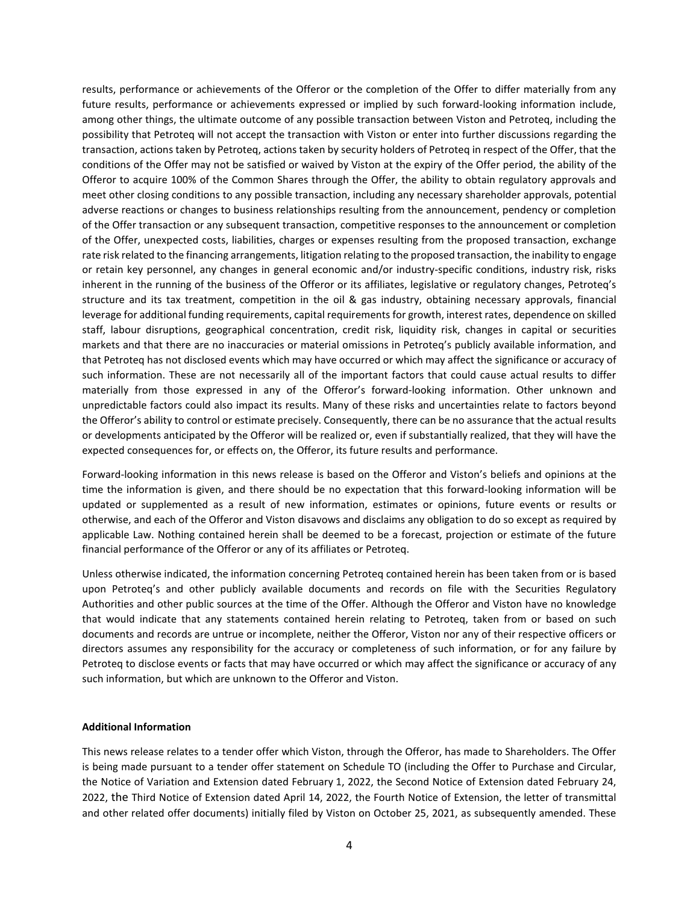results, performance or achievements of the Offeror or the completion of the Offer to differ materially from any future results, performance or achievements expressed or implied by such forward-looking information include, among other things, the ultimate outcome of any possible transaction between Viston and Petroteq, including the possibility that Petroteq will not accept the transaction with Viston or enter into further discussions regarding the transaction, actions taken by Petroteq, actions taken by security holders of Petroteq in respect of the Offer, that the conditions of the Offer may not be satisfied or waived by Viston at the expiry of the Offer period, the ability of the Offeror to acquire 100% of the Common Shares through the Offer, the ability to obtain regulatory approvals and meet other closing conditions to any possible transaction, including any necessary shareholder approvals, potential adverse reactions or changes to business relationships resulting from the announcement, pendency or completion of the Offer transaction or any subsequent transaction, competitive responses to the announcement or completion of the Offer, unexpected costs, liabilities, charges or expenses resulting from the proposed transaction, exchange rate risk related to the financing arrangements, litigation relating to the proposed transaction, the inability to engage or retain key personnel, any changes in general economic and/or industry-specific conditions, industry risk, risks inherent in the running of the business of the Offeror or its affiliates, legislative or regulatory changes, Petroteq's structure and its tax treatment, competition in the oil & gas industry, obtaining necessary approvals, financial leverage for additional funding requirements, capital requirements for growth, interest rates, dependence on skilled staff, labour disruptions, geographical concentration, credit risk, liquidity risk, changes in capital or securities markets and that there are no inaccuracies or material omissions in Petroteq's publicly available information, and that Petroteq has not disclosed events which may have occurred or which may affect the significance or accuracy of such information. These are not necessarily all of the important factors that could cause actual results to differ materially from those expressed in any of the Offeror's forward-looking information. Other unknown and unpredictable factors could also impact its results. Many of these risks and uncertainties relate to factors beyond the Offeror's ability to control or estimate precisely. Consequently, there can be no assurance that the actual results or developments anticipated by the Offeror will be realized or, even if substantially realized, that they will have the expected consequences for, or effects on, the Offeror, its future results and performance.

Forward-looking information in this news release is based on the Offeror and Viston's beliefs and opinions at the time the information is given, and there should be no expectation that this forward-looking information will be updated or supplemented as a result of new information, estimates or opinions, future events or results or otherwise, and each of the Offeror and Viston disavows and disclaims any obligation to do so except as required by applicable Law. Nothing contained herein shall be deemed to be a forecast, projection or estimate of the future financial performance of the Offeror or any of its affiliates or Petroteq.

Unless otherwise indicated, the information concerning Petroteq contained herein has been taken from or is based upon Petroteq's and other publicly available documents and records on file with the Securities Regulatory Authorities and other public sources at the time of the Offer. Although the Offeror and Viston have no knowledge that would indicate that any statements contained herein relating to Petroteq, taken from or based on such documents and records are untrue or incomplete, neither the Offeror, Viston nor any of their respective officers or directors assumes any responsibility for the accuracy or completeness of such information, or for any failure by Petroteq to disclose events or facts that may have occurred or which may affect the significance or accuracy of any such information, but which are unknown to the Offeror and Viston.

### **Additional Information**

This news release relates to a tender offer which Viston, through the Offeror, has made to Shareholders. The Offer is being made pursuant to a tender offer statement on Schedule TO (including the Offer to Purchase and Circular, the Notice of Variation and Extension dated February 1, 2022, the Second Notice of Extension dated February 24, 2022, the Third Notice of Extension dated April 14, 2022, the Fourth Notice of Extension, the letter of transmittal and other related offer documents) initially filed by Viston on October 25, 2021, as subsequently amended. These